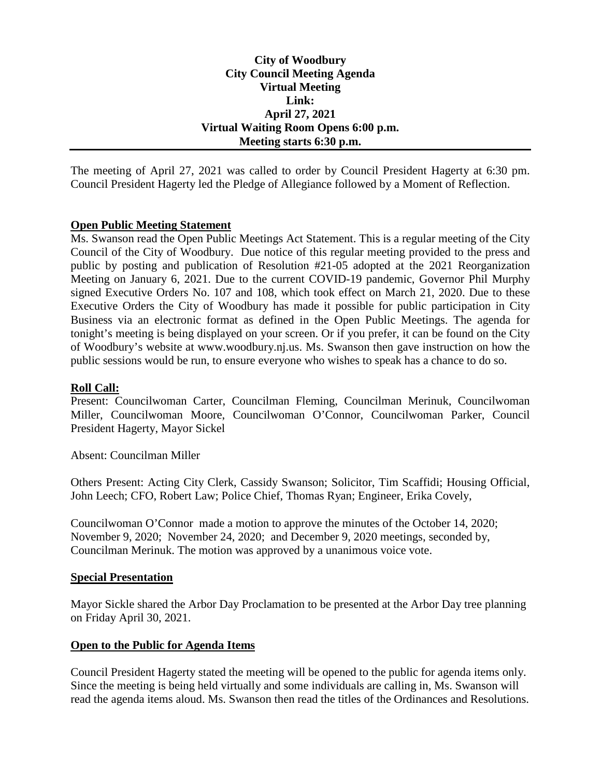## **City of Woodbury City Council Meeting Agenda Virtual Meeting Link: April 27, 2021 Virtual Waiting Room Opens 6:00 p.m. Meeting starts 6:30 p.m.**

The meeting of April 27, 2021 was called to order by Council President Hagerty at 6:30 pm. Council President Hagerty led the Pledge of Allegiance followed by a Moment of Reflection.

## **Open Public Meeting Statement**

Ms. Swanson read the Open Public Meetings Act Statement. This is a regular meeting of the City Council of the City of Woodbury. Due notice of this regular meeting provided to the press and public by posting and publication of Resolution #21-05 adopted at the 2021 Reorganization Meeting on January 6, 2021. Due to the current COVID-19 pandemic, Governor Phil Murphy signed Executive Orders No. 107 and 108, which took effect on March 21, 2020. Due to these Executive Orders the City of Woodbury has made it possible for public participation in City Business via an electronic format as defined in the Open Public Meetings. The agenda for tonight's meeting is being displayed on your screen. Or if you prefer, it can be found on the City of Woodbury's website at www.woodbury.nj.us. Ms. Swanson then gave instruction on how the public sessions would be run, to ensure everyone who wishes to speak has a chance to do so.

## **Roll Call:**

Present: Councilwoman Carter, Councilman Fleming, Councilman Merinuk, Councilwoman Miller, Councilwoman Moore, Councilwoman O'Connor, Councilwoman Parker, Council President Hagerty, Mayor Sickel

Absent: Councilman Miller

Others Present: Acting City Clerk, Cassidy Swanson; Solicitor, Tim Scaffidi; Housing Official, John Leech; CFO, Robert Law; Police Chief, Thomas Ryan; Engineer, Erika Covely,

Councilwoman O'Connor made a motion to approve the minutes of the October 14, 2020; November 9, 2020; November 24, 2020; and December 9, 2020 meetings, seconded by, Councilman Merinuk. The motion was approved by a unanimous voice vote.

## **Special Presentation**

Mayor Sickle shared the Arbor Day Proclamation to be presented at the Arbor Day tree planning on Friday April 30, 2021.

## **Open to the Public for Agenda Items**

Council President Hagerty stated the meeting will be opened to the public for agenda items only. Since the meeting is being held virtually and some individuals are calling in, Ms. Swanson will read the agenda items aloud. Ms. Swanson then read the titles of the Ordinances and Resolutions.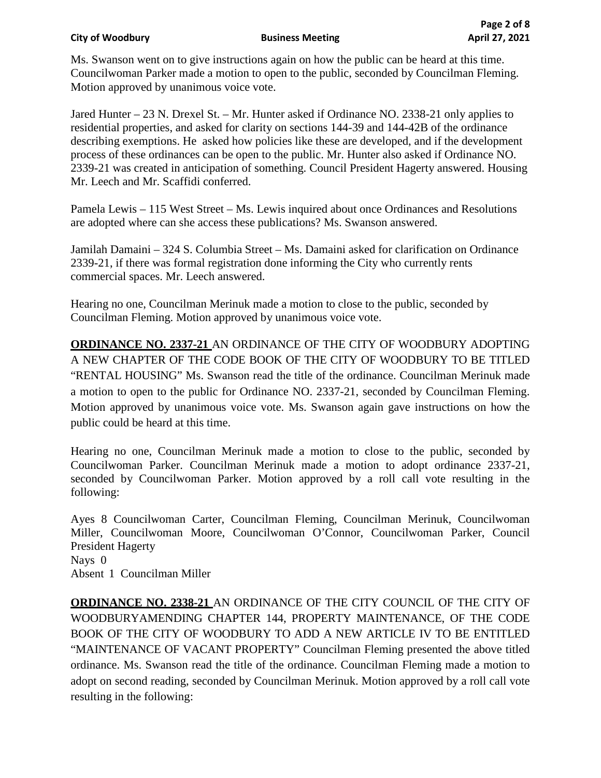Ms. Swanson went on to give instructions again on how the public can be heard at this time. Councilwoman Parker made a motion to open to the public, seconded by Councilman Fleming. Motion approved by unanimous voice vote.

Jared Hunter – 23 N. Drexel St. – Mr. Hunter asked if Ordinance NO. 2338-21 only applies to residential properties, and asked for clarity on sections 144-39 and 144-42B of the ordinance describing exemptions. He asked how policies like these are developed, and if the development process of these ordinances can be open to the public. Mr. Hunter also asked if Ordinance NO. 2339-21 was created in anticipation of something. Council President Hagerty answered. Housing Mr. Leech and Mr. Scaffidi conferred.

Pamela Lewis – 115 West Street – Ms. Lewis inquired about once Ordinances and Resolutions are adopted where can she access these publications? Ms. Swanson answered.

Jamilah Damaini – 324 S. Columbia Street – Ms. Damaini asked for clarification on Ordinance 2339-21, if there was formal registration done informing the City who currently rents commercial spaces. Mr. Leech answered.

Hearing no one, Councilman Merinuk made a motion to close to the public, seconded by Councilman Fleming. Motion approved by unanimous voice vote.

**ORDINANCE NO. 2337-21** AN ORDINANCE OF THE CITY OF WOODBURY ADOPTING A NEW CHAPTER OF THE CODE BOOK OF THE CITY OF WOODBURY TO BE TITLED "RENTAL HOUSING" Ms. Swanson read the title of the ordinance. Councilman Merinuk made a motion to open to the public for Ordinance NO. 2337-21, seconded by Councilman Fleming. Motion approved by unanimous voice vote. Ms. Swanson again gave instructions on how the public could be heard at this time.

Hearing no one, Councilman Merinuk made a motion to close to the public, seconded by Councilwoman Parker. Councilman Merinuk made a motion to adopt ordinance 2337-21, seconded by Councilwoman Parker. Motion approved by a roll call vote resulting in the following:

Ayes 8 Councilwoman Carter, Councilman Fleming, Councilman Merinuk, Councilwoman Miller, Councilwoman Moore, Councilwoman O'Connor, Councilwoman Parker, Council President Hagerty Nays 0 Absent 1 Councilman Miller

**ORDINANCE NO. 2338-21** AN ORDINANCE OF THE CITY COUNCIL OF THE CITY OF WOODBURYAMENDING CHAPTER 144, PROPERTY MAINTENANCE, OF THE CODE BOOK OF THE CITY OF WOODBURY TO ADD A NEW ARTICLE IV TO BE ENTITLED "MAINTENANCE OF VACANT PROPERTY" Councilman Fleming presented the above titled ordinance. Ms. Swanson read the title of the ordinance. Councilman Fleming made a motion to adopt on second reading, seconded by Councilman Merinuk. Motion approved by a roll call vote resulting in the following: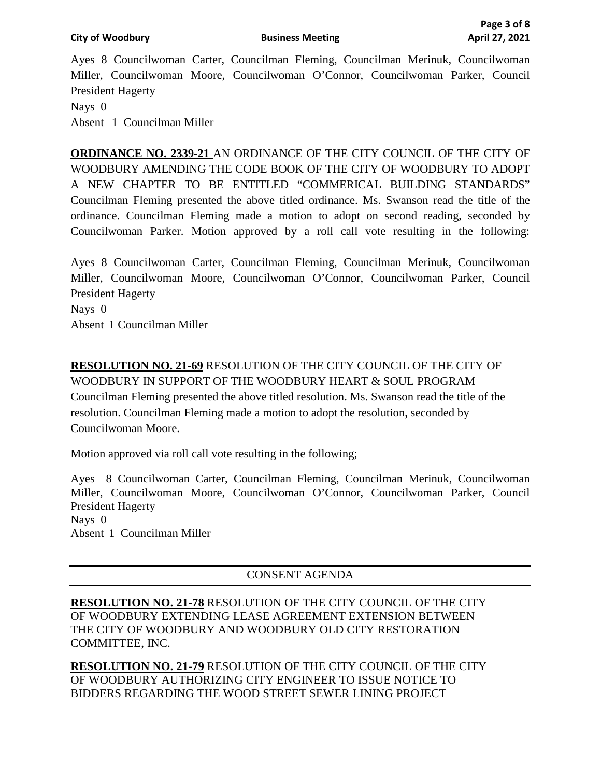Ayes 8 Councilwoman Carter, Councilman Fleming, Councilman Merinuk, Councilwoman Miller, Councilwoman Moore, Councilwoman O'Connor, Councilwoman Parker, Council President Hagerty Nays 0 Absent 1 Councilman Miller

**ORDINANCE NO. 2339-21** AN ORDINANCE OF THE CITY COUNCIL OF THE CITY OF WOODBURY AMENDING THE CODE BOOK OF THE CITY OF WOODBURY TO ADOPT A NEW CHAPTER TO BE ENTITLED "COMMERICAL BUILDING STANDARDS" Councilman Fleming presented the above titled ordinance. Ms. Swanson read the title of the ordinance. Councilman Fleming made a motion to adopt on second reading, seconded by Councilwoman Parker. Motion approved by a roll call vote resulting in the following:

Ayes 8 Councilwoman Carter, Councilman Fleming, Councilman Merinuk, Councilwoman Miller, Councilwoman Moore, Councilwoman O'Connor, Councilwoman Parker, Council President Hagerty Nays 0 Absent 1 Councilman Miller

**RESOLUTION NO. 21-69** RESOLUTION OF THE CITY COUNCIL OF THE CITY OF WOODBURY IN SUPPORT OF THE WOODBURY HEART & SOUL PROGRAM Councilman Fleming presented the above titled resolution. Ms. Swanson read the title of the resolution. Councilman Fleming made a motion to adopt the resolution, seconded by Councilwoman Moore.

Motion approved via roll call vote resulting in the following;

Ayes 8 Councilwoman Carter, Councilman Fleming, Councilman Merinuk, Councilwoman Miller, Councilwoman Moore, Councilwoman O'Connor, Councilwoman Parker, Council President Hagerty Nays 0 Absent 1 Councilman Miller

# CONSENT AGENDA

**RESOLUTION NO. 21-78** RESOLUTION OF THE CITY COUNCIL OF THE CITY OF WOODBURY EXTENDING LEASE AGREEMENT EXTENSION BETWEEN THE CITY OF WOODBURY AND WOODBURY OLD CITY RESTORATION COMMITTEE, INC.

**RESOLUTION NO. 21-79** RESOLUTION OF THE CITY COUNCIL OF THE CITY OF WOODBURY AUTHORIZING CITY ENGINEER TO ISSUE NOTICE TO BIDDERS REGARDING THE WOOD STREET SEWER LINING PROJECT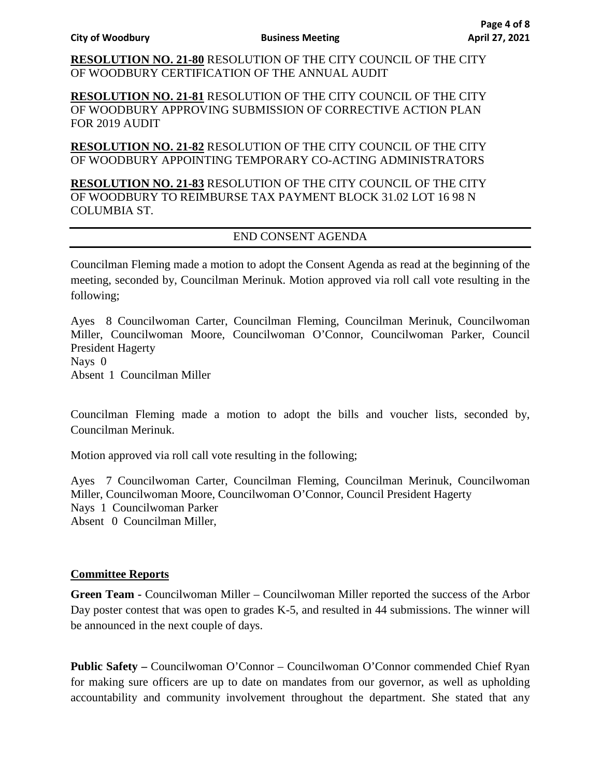**RESOLUTION NO. 21-80** RESOLUTION OF THE CITY COUNCIL OF THE CITY OF WOODBURY CERTIFICATION OF THE ANNUAL AUDIT

**RESOLUTION NO. 21-81** RESOLUTION OF THE CITY COUNCIL OF THE CITY OF WOODBURY APPROVING SUBMISSION OF CORRECTIVE ACTION PLAN FOR 2019 AUDIT

**RESOLUTION NO. 21-82** RESOLUTION OF THE CITY COUNCIL OF THE CITY OF WOODBURY APPOINTING TEMPORARY CO-ACTING ADMINISTRATORS

**RESOLUTION NO. 21-83** RESOLUTION OF THE CITY COUNCIL OF THE CITY OF WOODBURY TO REIMBURSE TAX PAYMENT BLOCK 31.02 LOT 16 98 N COLUMBIA ST.

# END CONSENT AGENDA

Councilman Fleming made a motion to adopt the Consent Agenda as read at the beginning of the meeting, seconded by, Councilman Merinuk. Motion approved via roll call vote resulting in the following;

Ayes 8 Councilwoman Carter, Councilman Fleming, Councilman Merinuk, Councilwoman Miller, Councilwoman Moore, Councilwoman O'Connor, Councilwoman Parker, Council President Hagerty Nays 0 Absent 1 Councilman Miller

Councilman Fleming made a motion to adopt the bills and voucher lists, seconded by, Councilman Merinuk.

Motion approved via roll call vote resulting in the following;

Ayes 7 Councilwoman Carter, Councilman Fleming, Councilman Merinuk, Councilwoman Miller, Councilwoman Moore, Councilwoman O'Connor, Council President Hagerty Nays 1 Councilwoman Parker Absent 0 Councilman Miller,

# **Committee Reports**

**Green Team -** Councilwoman Miller – Councilwoman Miller reported the success of the Arbor Day poster contest that was open to grades K-5, and resulted in 44 submissions. The winner will be announced in the next couple of days.

**Public Safety –** Councilwoman O'Connor – Councilwoman O'Connor commended Chief Ryan for making sure officers are up to date on mandates from our governor, as well as upholding accountability and community involvement throughout the department. She stated that any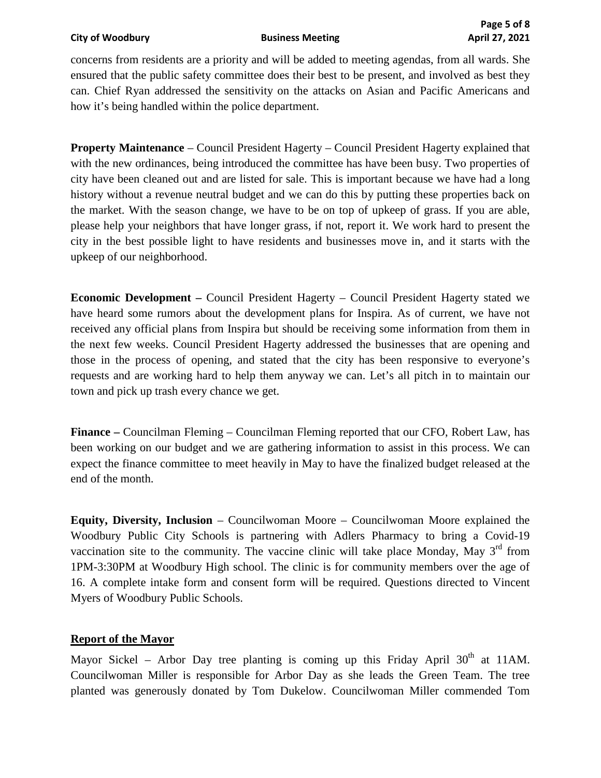concerns from residents are a priority and will be added to meeting agendas, from all wards. She ensured that the public safety committee does their best to be present, and involved as best they can. Chief Ryan addressed the sensitivity on the attacks on Asian and Pacific Americans and how it's being handled within the police department.

**Property Maintenance** – Council President Hagerty – Council President Hagerty explained that with the new ordinances, being introduced the committee has have been busy. Two properties of city have been cleaned out and are listed for sale. This is important because we have had a long history without a revenue neutral budget and we can do this by putting these properties back on the market. With the season change, we have to be on top of upkeep of grass. If you are able, please help your neighbors that have longer grass, if not, report it. We work hard to present the city in the best possible light to have residents and businesses move in, and it starts with the upkeep of our neighborhood.

**Economic Development –** Council President Hagerty – Council President Hagerty stated we have heard some rumors about the development plans for Inspira. As of current, we have not received any official plans from Inspira but should be receiving some information from them in the next few weeks. Council President Hagerty addressed the businesses that are opening and those in the process of opening, and stated that the city has been responsive to everyone's requests and are working hard to help them anyway we can. Let's all pitch in to maintain our town and pick up trash every chance we get.

**Finance –** Councilman Fleming – Councilman Fleming reported that our CFO, Robert Law, has been working on our budget and we are gathering information to assist in this process. We can expect the finance committee to meet heavily in May to have the finalized budget released at the end of the month.

**Equity, Diversity, Inclusion** – Councilwoman Moore – Councilwoman Moore explained the Woodbury Public City Schools is partnering with Adlers Pharmacy to bring a Covid-19 vaccination site to the community. The vaccine clinic will take place Monday, May  $3<sup>rd</sup>$  from 1PM-3:30PM at Woodbury High school. The clinic is for community members over the age of 16. A complete intake form and consent form will be required. Questions directed to Vincent Myers of Woodbury Public Schools.

# **Report of the Mayor**

Mayor Sickel – Arbor Day tree planting is coming up this Friday April  $30<sup>th</sup>$  at 11AM. Councilwoman Miller is responsible for Arbor Day as she leads the Green Team. The tree planted was generously donated by Tom Dukelow. Councilwoman Miller commended Tom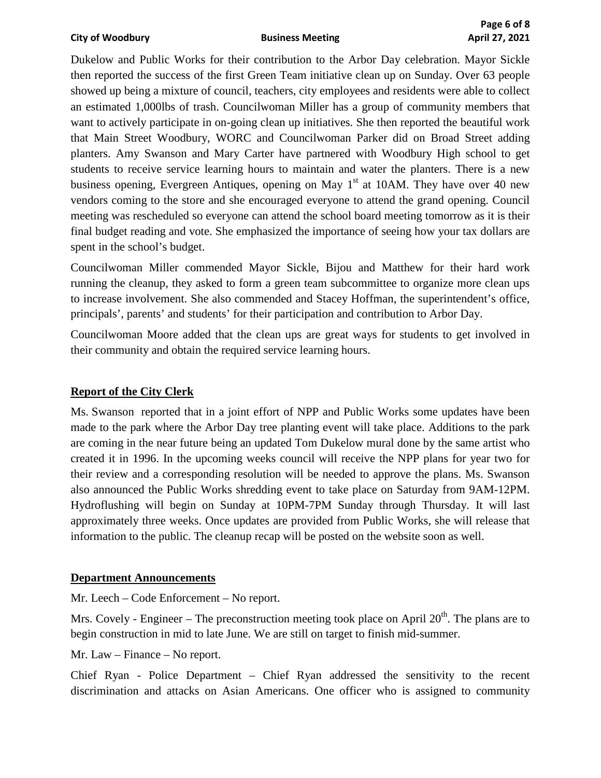Dukelow and Public Works for their contribution to the Arbor Day celebration. Mayor Sickle then reported the success of the first Green Team initiative clean up on Sunday. Over 63 people showed up being a mixture of council, teachers, city employees and residents were able to collect an estimated 1,000lbs of trash. Councilwoman Miller has a group of community members that want to actively participate in on-going clean up initiatives. She then reported the beautiful work that Main Street Woodbury, WORC and Councilwoman Parker did on Broad Street adding planters. Amy Swanson and Mary Carter have partnered with Woodbury High school to get students to receive service learning hours to maintain and water the planters. There is a new business opening, Evergreen Antiques, opening on May  $1<sup>st</sup>$  at 10AM. They have over 40 new vendors coming to the store and she encouraged everyone to attend the grand opening. Council meeting was rescheduled so everyone can attend the school board meeting tomorrow as it is their final budget reading and vote. She emphasized the importance of seeing how your tax dollars are spent in the school's budget.

Councilwoman Miller commended Mayor Sickle, Bijou and Matthew for their hard work running the cleanup, they asked to form a green team subcommittee to organize more clean ups to increase involvement. She also commended and Stacey Hoffman, the superintendent's office, principals', parents' and students' for their participation and contribution to Arbor Day.

Councilwoman Moore added that the clean ups are great ways for students to get involved in their community and obtain the required service learning hours.

# **Report of the City Clerk**

Ms. Swanson reported that in a joint effort of NPP and Public Works some updates have been made to the park where the Arbor Day tree planting event will take place. Additions to the park are coming in the near future being an updated Tom Dukelow mural done by the same artist who created it in 1996. In the upcoming weeks council will receive the NPP plans for year two for their review and a corresponding resolution will be needed to approve the plans. Ms. Swanson also announced the Public Works shredding event to take place on Saturday from 9AM-12PM. Hydroflushing will begin on Sunday at 10PM-7PM Sunday through Thursday. It will last approximately three weeks. Once updates are provided from Public Works, she will release that information to the public. The cleanup recap will be posted on the website soon as well.

## **Department Announcements**

Mr. Leech – Code Enforcement – No report.

Mrs. Covely - Engineer – The preconstruction meeting took place on April  $20<sup>th</sup>$ . The plans are to begin construction in mid to late June. We are still on target to finish mid-summer.

Mr. Law – Finance – No report.

Chief Ryan - Police Department – Chief Ryan addressed the sensitivity to the recent discrimination and attacks on Asian Americans. One officer who is assigned to community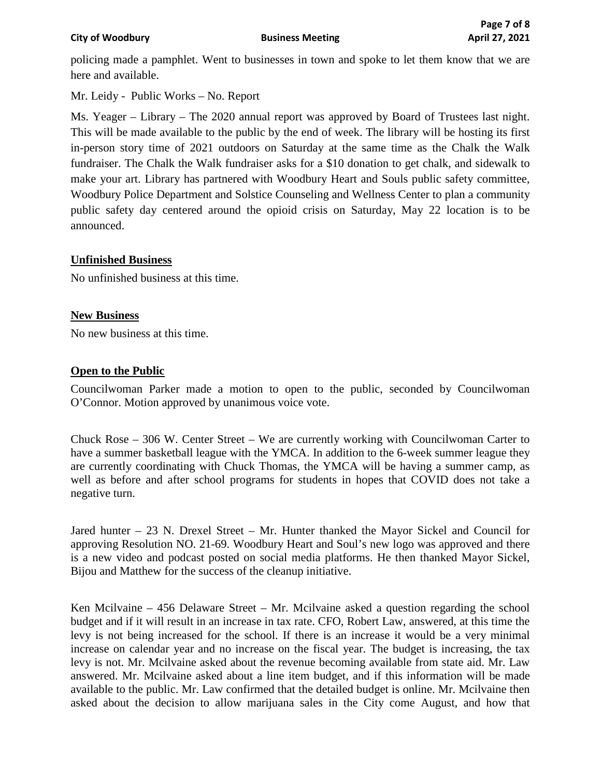policing made a pamphlet. Went to businesses in town and spoke to let them know that we are here and available.

Mr. Leidy - Public Works – No. Report

Ms. Yeager – Library – The 2020 annual report was approved by Board of Trustees last night. This will be made available to the public by the end of week. The library will be hosting its first in-person story time of 2021 outdoors on Saturday at the same time as the Chalk the Walk fundraiser. The Chalk the Walk fundraiser asks for a \$10 donation to get chalk, and sidewalk to make your art. Library has partnered with Woodbury Heart and Souls public safety committee, Woodbury Police Department and Solstice Counseling and Wellness Center to plan a community public safety day centered around the opioid crisis on Saturday, May 22 location is to be announced.

# **Unfinished Business**

No unfinished business at this time.

# **New Business**

No new business at this time.

# **Open to the Public**

Councilwoman Parker made a motion to open to the public, seconded by Councilwoman O'Connor. Motion approved by unanimous voice vote.

Chuck Rose – 306 W. Center Street – We are currently working with Councilwoman Carter to have a summer basketball league with the YMCA. In addition to the 6-week summer league they are currently coordinating with Chuck Thomas, the YMCA will be having a summer camp, as well as before and after school programs for students in hopes that COVID does not take a negative turn.

Jared hunter – 23 N. Drexel Street – Mr. Hunter thanked the Mayor Sickel and Council for approving Resolution NO. 21-69. Woodbury Heart and Soul's new logo was approved and there is a new video and podcast posted on social media platforms. He then thanked Mayor Sickel, Bijou and Matthew for the success of the cleanup initiative.

Ken Mcilvaine – 456 Delaware Street – Mr. Mcilvaine asked a question regarding the school budget and if it will result in an increase in tax rate. CFO, Robert Law, answered, at this time the levy is not being increased for the school. If there is an increase it would be a very minimal increase on calendar year and no increase on the fiscal year. The budget is increasing, the tax levy is not. Mr. Mcilvaine asked about the revenue becoming available from state aid. Mr. Law answered. Mr. Mcilvaine asked about a line item budget, and if this information will be made available to the public. Mr. Law confirmed that the detailed budget is online. Mr. Mcilvaine then asked about the decision to allow marijuana sales in the City come August, and how that